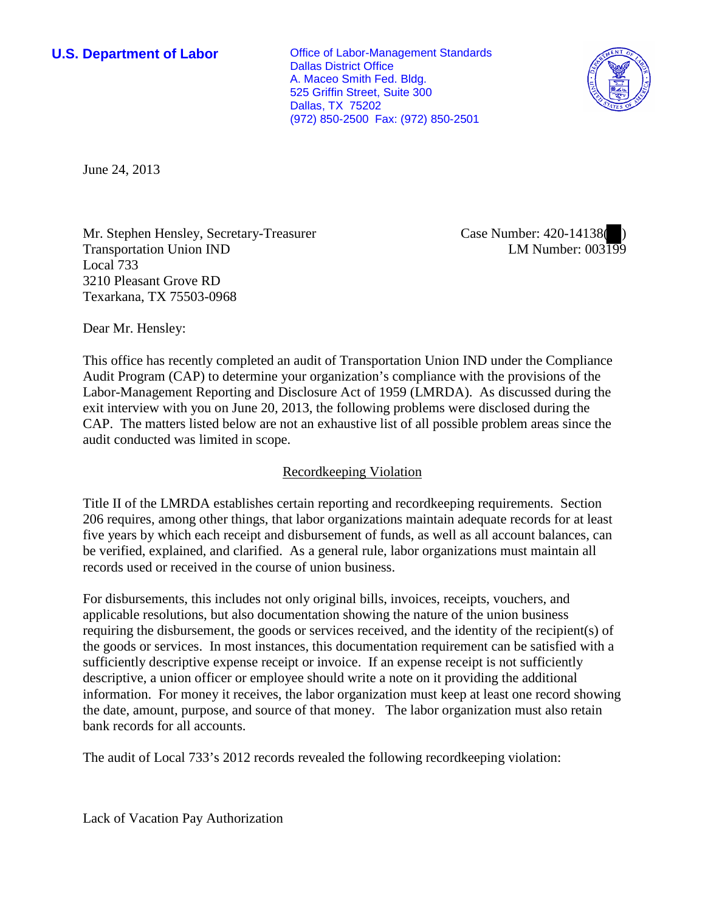**U.S. Department of Labor Office of Labor-Management Standards** Dallas District Office A. Maceo Smith Fed. Bldg. 525 Griffin Street, Suite 300 Dallas, TX 75202 (972) 850-2500 Fax: (972) 850-2501



June 24, 2013

Mr. Stephen Hensley, Secretary-Treasurer Transportation Union IND Local 733 3210 Pleasant Grove RD Texarkana, TX 75503-0968

Case Number: 420-14138( ) LM Number: 003199

Dear Mr. Hensley:

This office has recently completed an audit of Transportation Union IND under the Compliance Audit Program (CAP) to determine your organization's compliance with the provisions of the Labor-Management Reporting and Disclosure Act of 1959 (LMRDA). As discussed during the exit interview with you on June 20, 2013, the following problems were disclosed during the CAP. The matters listed below are not an exhaustive list of all possible problem areas since the audit conducted was limited in scope.

## Recordkeeping Violation

Title II of the LMRDA establishes certain reporting and recordkeeping requirements. Section 206 requires, among other things, that labor organizations maintain adequate records for at least five years by which each receipt and disbursement of funds, as well as all account balances, can be verified, explained, and clarified. As a general rule, labor organizations must maintain all records used or received in the course of union business.

For disbursements, this includes not only original bills, invoices, receipts, vouchers, and applicable resolutions, but also documentation showing the nature of the union business requiring the disbursement, the goods or services received, and the identity of the recipient(s) of the goods or services. In most instances, this documentation requirement can be satisfied with a sufficiently descriptive expense receipt or invoice. If an expense receipt is not sufficiently descriptive, a union officer or employee should write a note on it providing the additional information. For money it receives, the labor organization must keep at least one record showing the date, amount, purpose, and source of that money. The labor organization must also retain bank records for all accounts.

The audit of Local 733's 2012 records revealed the following recordkeeping violation:

Lack of Vacation Pay Authorization